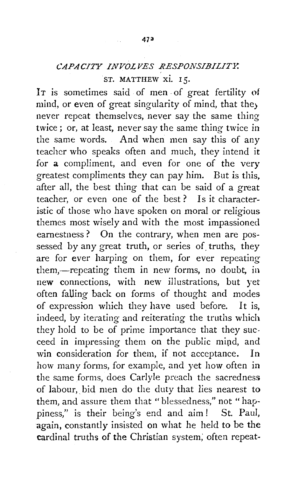## *CAPACITY INVOLVES RESPONSIBILITY.*  . ST. MATTHEW xi. I 5.

IT is sometimes said of men of great fertility of mind, or even of great singularity of mind, that they never repeat themselves, never say the same thing twice ; or, at least, never say the same thing twice in the same words. And when men say this of any teacher who speaks often and much, they intend it for a compliment, and even for one of the very greatest compliments they can pay him. But is this, after all, the best thing that can be said of a great teacher, or even one of the best? Is it characteristic of those who have spoken on moral or religious themes most wisely and with the most impassioned earnestness? On the contrary, when men are possessed by any great truth, or series of truths, they are for ever harping on them, for ever repeating them,—repeating them in new forms, no doubt, in new connections, with new illustrations, but yet often falling back on forms of thought and modes of expression which they have used before. It is, indeed, by iterating and reiterating the truths which they hold to be of prime importance that they succeed in impressing them on the public mipd, and win consideration for them, if not acceptance. In how many forms, for example, and yet how often in the same forms, does Carlyle preach the sacredness of labour, bid men do the duty that lies nearest to them, and assure them that "blessedness," not "happiness," is their being's end and aim! St. Paul, again, constantly insisted on what he held to be the cardinal truths of the Christian system; often repeat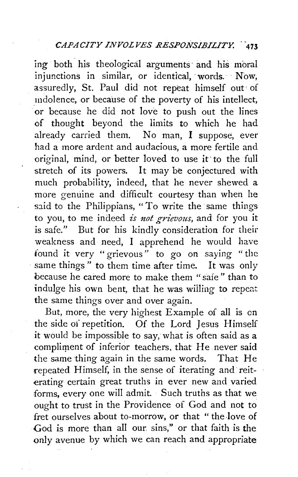ing both his theological arguments and his moral injunctions in similar, or identical, words. Now, assuredly, St. Paul did not repeat himself out· of mdolence, or because of the poverty of his intellect, or because he did not love to push out the lines of thought beyond the limits to which he had already carried them. No man, I suppose, ever had a more ardent and audacious, a more fertile and original, mind, or better loved to use it· to the full stretch of its powers. It may be conjectured with much probability, indeed, that he never shewed a more genuine and difficult courtesy than when he said to the Philippians, "To write the same things to you, to me indeed *is not grievous*, and for you it is safe." But for his kindly consideration for their weakness and need, I apprehend he would have found it very "grievous" to go on saying " the same things" to them time after time. It was only because he cared more to make them "safe" than to indulge his own bent, that he was willing to repeat the same things over and over again.

But, more, the very highest Example of all is on the side of repetition. Of the Lord Jesus Himself it would be impossible to say, what is often said as a compliment of inferior teachers, that He never said the same thing again in the same words. That He repeated Himself, in the sense of iterating and reiterating certain great truths in ever new and varied forms, every one will admit. Such truths as that we ought to trust in the Providence of God and not to fret ourselves about to-morrow, or that " the love of God is more than all our sins," or that faith is the only avenue by which we can reach and appropriate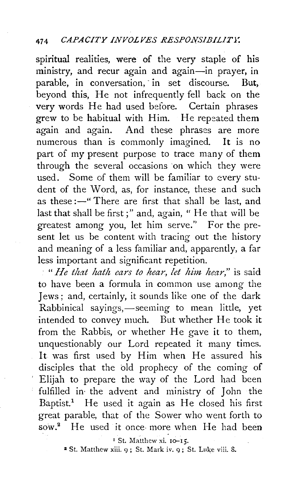spiritual realities, were of the very staple of his ministry, and recur again and again-in prayer, in parable, in conversation, in set discourse. But, beyond this, He not infrequently fell back on the very words He had used before. Certain phrases grew to be habitual with Him. He repeated them again and again. And these phrases are more numerous than is commonly imagined. It is no part of my present purpose to trace many of them through the several occasions on which they were used. Some of them will be familiar to every student of the Word, as, for instance, these and such as these :- " There are first that shall be last, and last that shall be first;" and, again, " He that will be greatest among you, let him serve." For the present let us be content with tracing out the history and meaning of a less familiar and, apparently, a far less important and significant repetition.

" *He that lzath ears to hear, let him hear,"* is said to have been a formula in common use among the Jews; and, certainly, it sounds like one of the dark Rabbinical sayings,—seeming to mean little, yet intended to convey much. But whether He took it from the Rabbis, or whether He gave it to them, unquestionably our Lord repeated it many times. It was first used by Him when He assured his disciples that the old prophecy of the coming of Elijah to prepare the way of the Lord had been fulfilled in the advent and ministry of John the Baptist.<sup>1</sup> He used it again as He closed his first great parable, that of the Sower who went forth to sow.<sup>2</sup> He used it once more when He had been

<sup>1</sup> St. Matthew xi. 10-15.

 $2$  St. Matthew xiii.  $9:$  St. Mark iv.  $9:$  St. Luke viii. 8.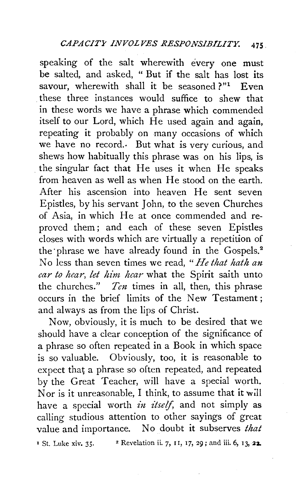speaking of the salt wherewith every one must be salted, and asked, " But if the salt has lost its savour, wherewith shall it be seasoned  $?''<sup>1</sup>$  Even . these three instances would suffice to shew that in these words we have a phrase which commended itself to our Lord, which He used again and again, repeating it probably on many occasions of which we have no record. But what is very curious, and shews how habitually this phrase was on his lips, is . the singular fact that He uses it when He speaks from heaven as well as when He stood on the earth. After his ascension into heaven He sent seven Epistles, by his servant John, to the seven Churches of Asia, in which He at once commended and reproved them; and each of these seven Epistles closes with words which are virtually a repetition of the phrase we have already found in the Gospels.<sup>2</sup> No less than seven times we read, " *He that hath an ear to hear, let him hear* what the Spirit saith unto the churches." *Ten* times in all, then, this phrase occurs in the brief limits of the New Testament ; and always as from the lips of Christ.

Now, obviously, it is much to be desired that we should have a clear conception of the significance of a phrase so often repeated in a Book in which space is so valuable. Obviously, too, it is reasonable to expect that a phrase so often repeated, and repeated by the Great Teacher, will have a special worth. Nor is it unreasonable, I think, to assume that it will have a special worth *in itself*, and not simply as calling studious attention to other sayings of great value and importance. No doubt it subserves *that*   $\frac{1}{1}$  St. Luke xiv. 35. 22 Revelation ii. 7, 11, 17, 29; and iii. 6, 13, 22.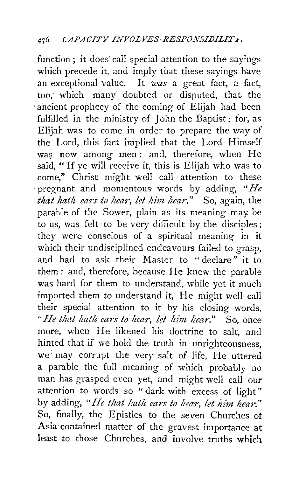function; it does' call special attention to the sayings which precede it, and imply that these sayings have an exceptional value. It *was* a great fact, a fact, too; which many doubted· or disputed, that the ancient prophecy of the coming of Elijah had been fulfilled in the ministry of John the Baptist; for, as Elijah was to come in order to prepare the way of the Lord, this fact implied that the Lord Himself was now among men: and, therefore, when He said, " If ye will receive it, this is Elijah who was to come," Christ might well call attention to these · pregnant and momentous words by adding, . *"He that hath ears to hear, let him hear.*" So, again, the parable of the Sower, plain as its meaning may be to us, was felt· to be very difficult by the disciples ; they were conscious of a spiritual meaning in it which their undisciplined endeavours failed to grasp, and had to ask their Master to " declare" it to them: and, therefore, because He knew the parable was hard for them to understand, while yet it much imported them to understand it, He might well call their special attention to it by his closing words, *"He that lzath ears to' hear, let him, hear."* So, once more, when He likened his doctrine to salt, and hinted that if we hold the truth in unrighteousness, we: may corrupt the very salt of life, He uttered a parable the full meaning of which probably no man has grasped even yet, and might well call our attention to words so " dark with excess of light" by adding, *"He that hath ears to hear, let him hear."*  So, finally, the Epistles to the seven Churches ot Asia· contained matter of the gravest importance at least to those Churches, and involve truths which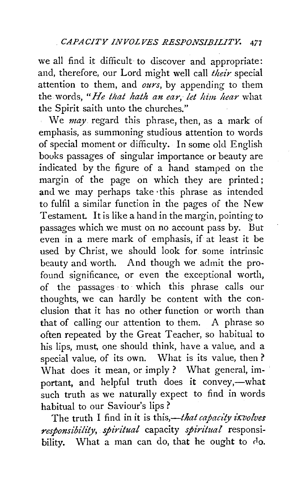we all find it difficult to discover and appropriate: and, therefore, our Lord might well call *their* special attention to them, and *ours,* by appending to them the words, *"He that hath an ear; let him hear* what the Spirit saith unto the churches."

We *may* regard this phrase, then, as a mark of emphasis, as summoning studious attention to words of special moment or difficulty. In some old English books passages of singular importance or beauty are indicated by the figure of a hand stamped on the margin of the page on which they are printed; and we may perhaps take ·this phrase as intended to fulfil a similar function in the pages of the New Testament. It is like a hand in the margin, pointing to passages which we must on no account pass by. But even in a mere mark of emphasis, if at least it be used by Christ, we should look for. some intrinsic beauty and worth. And though we admit the profound significance, or even the exceptional worth, of the passages · to· which this phrase calls our thoughts, we can hardly be content with the conclusion that it has no other function or worth than that of calling our attention to them. A phrase so often repeated by the Great Teacher, so habitual to his lips, must, one should think, have a value, and a special value, of its own. What is its value, then ? What does it mean, or imply ? What general, important, and helpful truth does it convey,-what such truth as we naturally expect to find in words habitual to our Saviour's lips ?

The truth I find in it is this,-*that capacity ixvolves responsibility, spiritual* capacity *spiritual* responsibility. What a man can do, that he ought to do.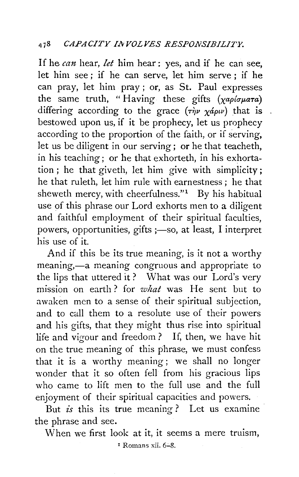If he *can* hear, *let* him hear : yes, and if he can see, let him see ; if he can serve, let him serve ; if he can pray, let him pray ; or, as St. Paul expresses the same truth, "Having these gifts  $(\chi a \rho / \sigma \mu a \tau a)$ differing according to the grace  $(\tau \dot{\eta} \nu \chi_{\alpha} \dot{\rho} \omega)$  that is. bestowed upon us, if it be prophecy, let us prophecy according to the proportion of the faith, or if serving, let us be diligent in our serving; or he that teacheth, in his teaching ; or he that exhorteth, in his exhortation ; he that giveth, let him give with simplicity; he that ruleth, let him rule with earnestness ; he that sheweth mercy, with cheerfulness." $1$  By his habitual use of this phrase our Lord exhorts men to a diligent and faithful employment of their spiritual faculties, powers, opportunities, gifts ;- so, at least, I interpret his use of it.

And if this be its true meaning, is it not a worthy meaning,—a meaning congruous and appropriate to the lips that uttered it? What was our Lord's very mission on earth? for *what* was He sent but to awaken men to a sense of their spiritual subjection, and to call them to a resolute use of their powers and his gifts, that they might thus rise into spiritual life and vigour and freedom? If, then, we have hit on the true meaning of this phrase, we must confess that it is a worthy meaning ; we shall no longer wonder that it so often fell from his gracious lips who came to lift men to the full use and the full enjoyment of their spiritual capacities and powers.

But *is* this its true meaning? Let us examine the phrase and see.

When we first look at it, it seems a mere truism,

 $\overline{P}$  Romans xii. 6-8.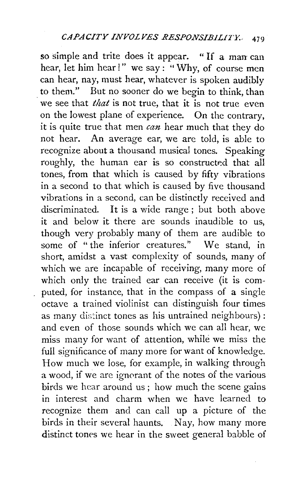so simple and trite does it appear. " If a man can hear, let him hear!" we say: "Why, of course men can hear, nay, must hear, whatever is spoken audibly to them." But no sooner do we begin to think, than we see that *that* is not true, that it is not true even on the lowest plane of experience. On the contrary, it is quite true that men *can* hear much that they do not hear. An average ear, we are told, is able to recognize about a thousand musical tones. Speaking roughly, the human ear is so constructed that all tones, from that which is caused by fifty vibrations in a second to that which is caused by five thousand vibrations in a second, can be distinctly received and discriminated. It is a wide range ; but both above it and below it there are sounds inaudible to us, though very probably many of them are audible to some of " the inferior creatures." We stand, in short, amidst a vast complexity of sounds, many of which we are incapable of receiving, many more of which only the trained ear can receive (it is computed, for instance, that in the compass of a single octave a trained violinist can distinguish four times as many distinct tones as his untrained neighbours): and even of those sounds which we can all hear, we miss many for want of attention, while we miss the full significance of many more for want of knowledge. How much we lose, for example, in walking through a wood, if we are ignorant of the notes of the various birds we hear around us ; how much the scene gains in interest and charm when we have learned to recognize them and can call up a picture of the birds in their several haunts. Nay, how many more distinct tones we hear in the sweet general babble of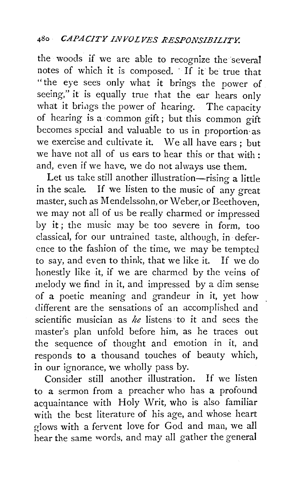the woods if we are able to recognize the several notes of which it is composed. · If it be true that "the eye sees only what it brings the power of seeing," it is equally true that the ear hears only what it brings the power of hearing. The capacity of hearing is a· common gift ; but this common gift becomes special and valuable to us in proportion·as we exercise and cultivate it. We all have ears ; but we have not all of us ears to hear this or that with : and, even if we have, we do not always use them.

Let us take still another illustration-rising a little in the scale. If we listen to the music of any great master, such as Mendelssohn, or Weber, or Beethoven, we may not all of us be really charmed or impressed by it ; the music may be too severe in form, too classical, for our untrained taste, although, in deference to the fashion of the time, we may be tempted to say, and even to think, that we like it. If we do honestly like it, if we are charmed by the veins of melody we find in it, and impressed by a dim sense of a poetic meaning and grandeur in it, yet how different are the sensations of an accomplished and scientific musician as *he* listens ·to it and sees the master's plan unfold before him, as he traces out the sequence of thought and emotion in it, and responds to a thousand touches of beauty which, in our ignorance, we wholly pass by.

Consider still another illustration. If we listen to a sermon from a preacher who has a profound acquaintance with Holy Writ, who is also familiar with the best literature of his age, and whose heart  $r$ lows with a fervent love for God and man, we all hear the same words, and may all gather the general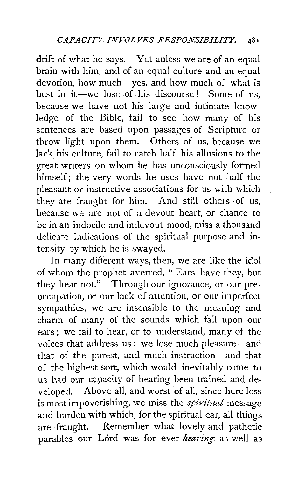drift of what he says. Yet unless we are of an equal brain with him, and of an equal culture and an equal devotion, how much-yes, and how much of what is best in it—we lose of his discourse! Some of us, because we have not his large and intimate knowledge of the Bible, fail to see how many of his sentences are based upon passages of Scripture or throw light upon them. Others of us, because we lack his culture, fail to catch half his allusions to the great writers on whom he has unconsciously formed himself; the very words he uses have not half the pleasant or instructive associations for us with which they are fraught for him. And still others of us, because we are not of a devout heart, or chance to be in an indocile and indevout mood, miss a thousand delicate indications of the spiritual purpose and intensity by which he is swayed.

In many different ways, then, we are like the idol of whom the prophet averred, "Ears have they, but they hear not." Through our ignorance. or our preoccupation, or our lack of attention, or our imperfect sympathies, we are insensible to the meaning and charm of many of the sounds which fall upon our ears ; we fail to hear, or to understand, many of the voices that address us : we lose much pleasure-and that of the purest, and much instruction-and that of the highest sort, which would inevitably come to us had our capacity of hearing been trained and developed. Above all, and worst of all, since here loss is most impoverishing, we miss the *spiritual* message and burden with which, for the spiritual ear, all things are fraught. Remember what lovely and pathetic parables our Lord was for ever *hearing,* as well as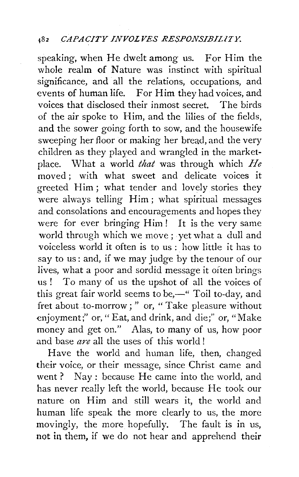## 182 *CAPACITY INVOLVES RESPONSIBILITY.*

speaking, when He dwelt among us. For Him the whole realm of Nature was instinct with spiritual significance, and all the relations, occupations, and events of human life. For Him they had voices, and voices that disclosed their inmost secret. The birds of the air spoke to Him, and the lilies of the fields, and the sower going forth to sow, and the housewife sweeping her floor or making her bread, and the very children as they played and wrangled in the marketplace. What a world *that* was through which *He*  moved ; with what sweet and delicate voices it greeted Him ; what tender and lovely stories they were always telling Him; what spiritual messages and consolations and encouragements and hopes they were for ever bringing Him! It is the very same world through which we move ; yet what a dull and voiceless world it often is to us : how little it has to say to us: and, if we may judge by the tenour of our lives, what a poor and sordid message it often brings us ! To many of us the upshot of all the voices of this great fair world seems to be, $-$ " Toil to-day, and fret about to-morrow; " or, "Take pleasure without enjoyment;" or, " Eat, and drink, and die;" or, "Make money and get on." Alas, to many of us, how poor and base *are* all the uses of this world!

Have the world and human life, then, changed their voice, or their message, since Christ came and went? Nay: because He came into the world, and has never really left the world, because He took our nature on Him and still wears it, the world and human life speak the more clearly to us, the more movingly, the more hopefully. The fault is in us, not in them, if we do not hear and apprehend their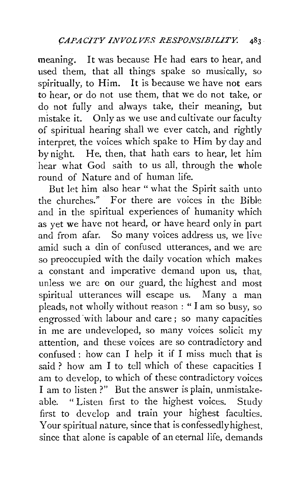meaning. It was because He had ears to hear, and used them, that all things spake so musically, so spiritually, to Him. It is because we have not ears to hear, or do not use them, that we do not take, or do not fully and always take, their meaning, but mistake it. Only as we use and cultivate our faculty of spiritual hearing shall we ever catch, and rightly interpret, the voices which spake to Him by day and by night. He. then, that hath ears to hear, let him hear what God saith to us all, through the whole round of Nature and of human life.

But let him also hear " what the Spirit saith unto the churches." For there are voices in the Bible and in the spiritual experiences of humanity which as yet we have not heard, or have heard only in part and from afar. So many voices address us, we live amid such a din of confused utterances, and we are so preoccupied with the daily vocation which makes a constant and imperative demand upon us, that, unless we are on our guard, the highest and most spiritual utterances will escape us. Many a man pleads, not wholly without reason : "I am so busy, so engrossed ·with labour and care; so many capacities in me are undeveloped, so many voices solicit my attention, and these voices are so contradictory and confused: how can I help it if I miss much that is said ? how am I to tell which of these capacities I am to develop, to which of these contradictory voices I am to listen ?" But the answer is plain, unmistakeable. " Listen first to the highest voices. Study first to develop and train your highest faculties. Your spiritual nature, since that is confessedly highest, since that alone is capable of an eternal life, demands